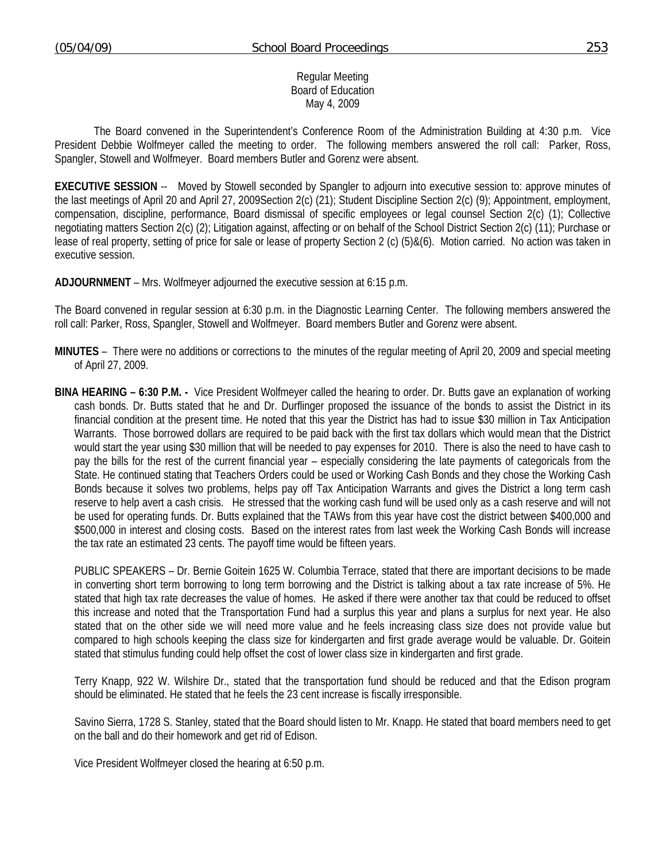### Regular Meeting Board of Education May 4, 2009

 The Board convened in the Superintendent's Conference Room of the Administration Building at 4:30 p.m. Vice President Debbie Wolfmeyer called the meeting to order. The following members answered the roll call: Parker, Ross, Spangler, Stowell and Wolfmeyer. Board members Butler and Gorenz were absent.

**EXECUTIVE SESSION** -- Moved by Stowell seconded by Spangler to adjourn into executive session to: approve minutes of the last meetings of April 20 and April 27, 2009Section 2(c) (21); Student Discipline Section 2(c) (9); Appointment, employment, compensation, discipline, performance, Board dismissal of specific employees or legal counsel Section 2(c) (1); Collective negotiating matters Section 2(c) (2); Litigation against, affecting or on behalf of the School District Section 2(c) (11); Purchase or lease of real property, setting of price for sale or lease of property Section 2 (c) (5)&(6). Motion carried. No action was taken in executive session.

**ADJOURNMENT** – Mrs. Wolfmeyer adjourned the executive session at 6:15 p.m.

The Board convened in regular session at 6:30 p.m. in the Diagnostic Learning Center. The following members answered the roll call: Parker, Ross, Spangler, Stowell and Wolfmeyer. Board members Butler and Gorenz were absent.

- **MINUTES** There were no additions or corrections to the minutes of the regular meeting of April 20, 2009 and special meeting of April 27, 2009.
- **BINA HEARING 6:30 P.M.** Vice President Wolfmeyer called the hearing to order. Dr. Butts gave an explanation of working cash bonds. Dr. Butts stated that he and Dr. Durflinger proposed the issuance of the bonds to assist the District in its financial condition at the present time. He noted that this year the District has had to issue \$30 million in Tax Anticipation Warrants. Those borrowed dollars are required to be paid back with the first tax dollars which would mean that the District would start the year using \$30 million that will be needed to pay expenses for 2010. There is also the need to have cash to pay the bills for the rest of the current financial year – especially considering the late payments of categoricals from the State. He continued stating that Teachers Orders could be used or Working Cash Bonds and they chose the Working Cash Bonds because it solves two problems, helps pay off Tax Anticipation Warrants and gives the District a long term cash reserve to help avert a cash crisis. He stressed that the working cash fund will be used only as a cash reserve and will not be used for operating funds. Dr. Butts explained that the TAWs from this year have cost the district between \$400,000 and \$500,000 in interest and closing costs. Based on the interest rates from last week the Working Cash Bonds will increase the tax rate an estimated 23 cents. The payoff time would be fifteen years.

 PUBLIC SPEAKERS – Dr. Bernie Goitein 1625 W. Columbia Terrace, stated that there are important decisions to be made in converting short term borrowing to long term borrowing and the District is talking about a tax rate increase of 5%. He stated that high tax rate decreases the value of homes. He asked if there were another tax that could be reduced to offset this increase and noted that the Transportation Fund had a surplus this year and plans a surplus for next year. He also stated that on the other side we will need more value and he feels increasing class size does not provide value but compared to high schools keeping the class size for kindergarten and first grade average would be valuable. Dr. Goitein stated that stimulus funding could help offset the cost of lower class size in kindergarten and first grade.

 Terry Knapp, 922 W. Wilshire Dr., stated that the transportation fund should be reduced and that the Edison program should be eliminated. He stated that he feels the 23 cent increase is fiscally irresponsible.

 Savino Sierra, 1728 S. Stanley, stated that the Board should listen to Mr. Knapp. He stated that board members need to get on the ball and do their homework and get rid of Edison.

Vice President Wolfmeyer closed the hearing at 6:50 p.m.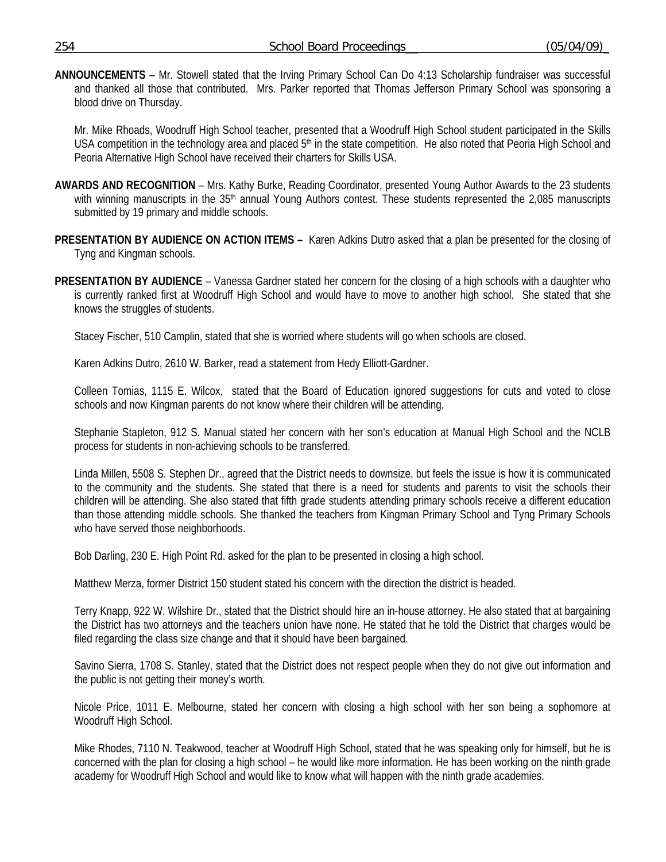**ANNOUNCEMENTS** – Mr. Stowell stated that the Irving Primary School Can Do 4:13 Scholarship fundraiser was successful and thanked all those that contributed. Mrs. Parker reported that Thomas Jefferson Primary School was sponsoring a blood drive on Thursday.

 Mr. Mike Rhoads, Woodruff High School teacher, presented that a Woodruff High School student participated in the Skills USA competition in the technology area and placed 5<sup>th</sup> in the state competition. He also noted that Peoria High School and Peoria Alternative High School have received their charters for Skills USA.

- **AWARDS AND RECOGNITION** Mrs. Kathy Burke, Reading Coordinator, presented Young Author Awards to the 23 students with winning manuscripts in the 35<sup>th</sup> annual Young Authors contest. These students represented the 2,085 manuscripts submitted by 19 primary and middle schools.
- **PRESENTATION BY AUDIENCE ON ACTION ITEMS** Karen Adkins Dutro asked that a plan be presented for the closing of Tyng and Kingman schools.
- **PRESENTATION BY AUDIENCE** Vanessa Gardner stated her concern for the closing of a high schools with a daughter who is currently ranked first at Woodruff High School and would have to move to another high school. She stated that she knows the struggles of students.

Stacey Fischer, 510 Camplin, stated that she is worried where students will go when schools are closed.

Karen Adkins Dutro, 2610 W. Barker, read a statement from Hedy Elliott-Gardner.

 Colleen Tomias, 1115 E. Wilcox, stated that the Board of Education ignored suggestions for cuts and voted to close schools and now Kingman parents do not know where their children will be attending.

 Stephanie Stapleton, 912 S. Manual stated her concern with her son's education at Manual High School and the NCLB process for students in non-achieving schools to be transferred.

 Linda Millen, 5508 S. Stephen Dr., agreed that the District needs to downsize, but feels the issue is how it is communicated to the community and the students. She stated that there is a need for students and parents to visit the schools their children will be attending. She also stated that fifth grade students attending primary schools receive a different education than those attending middle schools. She thanked the teachers from Kingman Primary School and Tyng Primary Schools who have served those neighborhoods.

Bob Darling, 230 E. High Point Rd. asked for the plan to be presented in closing a high school.

Matthew Merza, former District 150 student stated his concern with the direction the district is headed.

 Terry Knapp, 922 W. Wilshire Dr., stated that the District should hire an in-house attorney. He also stated that at bargaining the District has two attorneys and the teachers union have none. He stated that he told the District that charges would be filed regarding the class size change and that it should have been bargained.

 Savino Sierra, 1708 S. Stanley, stated that the District does not respect people when they do not give out information and the public is not getting their money's worth.

 Nicole Price, 1011 E. Melbourne, stated her concern with closing a high school with her son being a sophomore at Woodruff High School.

 Mike Rhodes, 7110 N. Teakwood, teacher at Woodruff High School, stated that he was speaking only for himself, but he is concerned with the plan for closing a high school – he would like more information. He has been working on the ninth grade academy for Woodruff High School and would like to know what will happen with the ninth grade academies.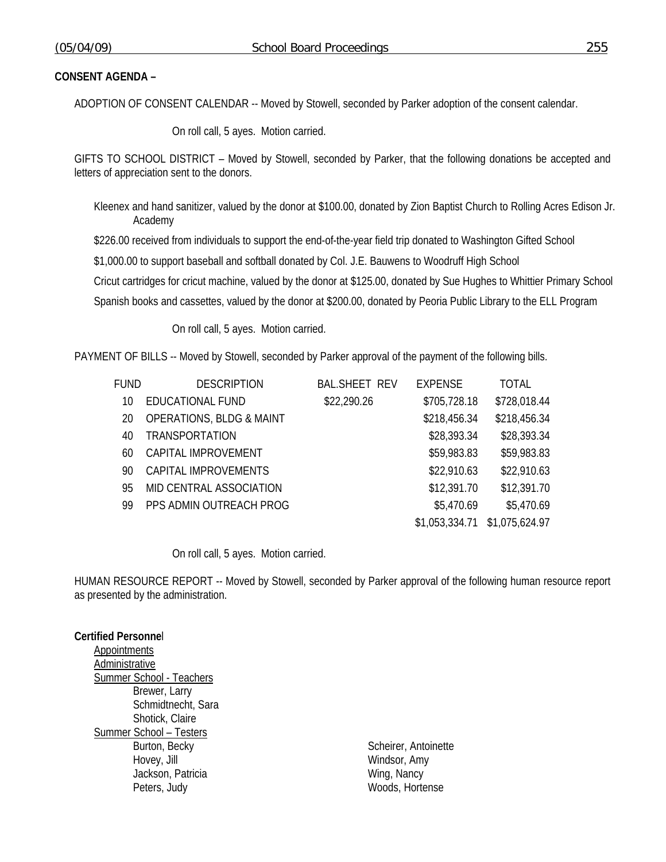## **CONSENT AGENDA –**

ADOPTION OF CONSENT CALENDAR -- Moved by Stowell, seconded by Parker adoption of the consent calendar.

On roll call, 5 ayes. Motion carried.

GIFTS TO SCHOOL DISTRICT – Moved by Stowell, seconded by Parker, that the following donations be accepted and letters of appreciation sent to the donors.

Kleenex and hand sanitizer, valued by the donor at \$100.00, donated by Zion Baptist Church to Rolling Acres Edison Jr. Academy

\$226.00 received from individuals to support the end-of-the-year field trip donated to Washington Gifted School

\$1,000.00 to support baseball and softball donated by Col. J.E. Bauwens to Woodruff High School

Cricut cartridges for cricut machine, valued by the donor at \$125.00, donated by Sue Hughes to Whittier Primary School

Spanish books and cassettes, valued by the donor at \$200.00, donated by Peoria Public Library to the ELL Program

On roll call, 5 ayes. Motion carried.

PAYMENT OF BILLS -- Moved by Stowell, seconded by Parker approval of the payment of the following bills.

| fund | <b>DESCRIPTION</b>                  | <b>BAL.SHEET REV</b> | <b>EXPENSE</b> | <b>TOTAL</b>   |
|------|-------------------------------------|----------------------|----------------|----------------|
| 10   | EDUCATIONAL FUND                    | \$22,290.26          | \$705,728.18   | \$728,018.44   |
| 20   | <b>OPERATIONS, BLDG &amp; MAINT</b> |                      | \$218,456.34   | \$218,456.34   |
| 40   | <b>TRANSPORTATION</b>               |                      | \$28,393.34    | \$28,393.34    |
| 60   | CAPITAL IMPROVEMENT                 |                      | \$59,983.83    | \$59,983.83    |
| 90   | CAPITAL IMPROVEMENTS                |                      | \$22,910.63    | \$22,910.63    |
| 95   | MID CENTRAL ASSOCIATION             |                      | \$12,391.70    | \$12,391.70    |
| 99   | PPS ADMIN OUTREACH PROG             |                      | \$5,470.69     | \$5,470.69     |
|      |                                     |                      | \$1,053,334.71 | \$1,075,624.97 |

On roll call, 5 ayes. Motion carried.

HUMAN RESOURCE REPORT -- Moved by Stowell, seconded by Parker approval of the following human resource report as presented by the administration.

#### **Certified Personne**l

**Appointments**  Administrative Summer School - Teachers Brewer, Larry Schmidtnecht, Sara Shotick, Claire Summer School – Testers Burton, Becky Scheirer, Antoinette Hovey, Jill **Windsor**, Amy Jackson, Patricia **Wing, Nancy** Peters, Judy **Woods**, Hortense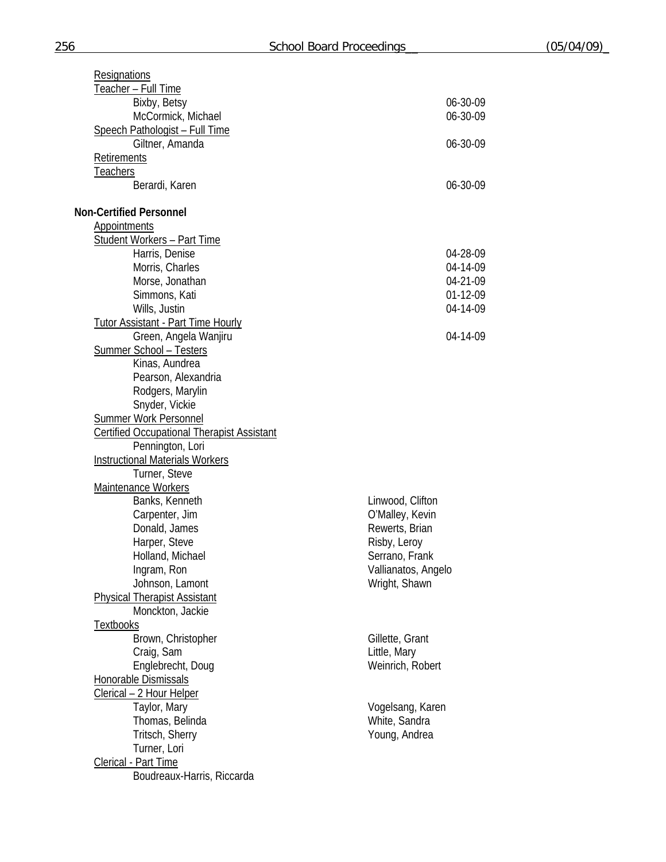| <b>Resignations</b>                               |                     |
|---------------------------------------------------|---------------------|
| Teacher - Full Time                               |                     |
| Bixby, Betsy                                      | 06-30-09            |
| McCormick, Michael                                | 06-30-09            |
| <b>Speech Pathologist - Full Time</b>             |                     |
| Giltner, Amanda                                   | 06-30-09            |
| Retirements                                       |                     |
| Teachers                                          |                     |
| Berardi, Karen                                    | 06-30-09            |
| <b>Non-Certified Personnel</b>                    |                     |
| <b>Appointments</b>                               |                     |
| <b>Student Workers - Part Time</b>                |                     |
| Harris, Denise                                    | 04-28-09            |
| Morris, Charles                                   | 04-14-09            |
| Morse, Jonathan                                   | 04-21-09            |
| Simmons, Kati                                     | 01-12-09            |
| Wills, Justin                                     | 04-14-09            |
| <b>Tutor Assistant - Part Time Hourly</b>         |                     |
| Green, Angela Wanjiru                             | 04-14-09            |
| <b>Summer School - Testers</b>                    |                     |
| Kinas, Aundrea                                    |                     |
| Pearson, Alexandria                               |                     |
| Rodgers, Marylin                                  |                     |
| Snyder, Vickie                                    |                     |
| <b>Summer Work Personnel</b>                      |                     |
| <b>Certified Occupational Therapist Assistant</b> |                     |
| Pennington, Lori                                  |                     |
| <b>Instructional Materials Workers</b>            |                     |
| Turner, Steve                                     |                     |
| Maintenance Workers                               |                     |
| Banks, Kenneth                                    | Linwood, Clifton    |
| Carpenter, Jim                                    | O'Malley, Kevin     |
| Donald, James                                     | Rewerts, Brian      |
| Harper, Steve                                     | Risby, Leroy        |
| Holland, Michael                                  | Serrano, Frank      |
| Ingram, Ron                                       | Vallianatos, Angelo |
| Johnson, Lamont                                   | Wright, Shawn       |
| <b>Physical Therapist Assistant</b>               |                     |
| Monckton, Jackie                                  |                     |
| <b>Textbooks</b>                                  |                     |
| Brown, Christopher                                | Gillette, Grant     |
| Craig, Sam                                        | Little, Mary        |
| Englebrecht, Doug                                 | Weinrich, Robert    |
| Honorable Dismissals                              |                     |
| Clerical - 2 Hour Helper                          |                     |
| Taylor, Mary                                      | Vogelsang, Karen    |
| Thomas, Belinda                                   | White, Sandra       |
| Tritsch, Sherry                                   | Young, Andrea       |
| Turner, Lori                                      |                     |
| Clerical - Part Time                              |                     |
| Boudreaux-Harris, Riccarda                        |                     |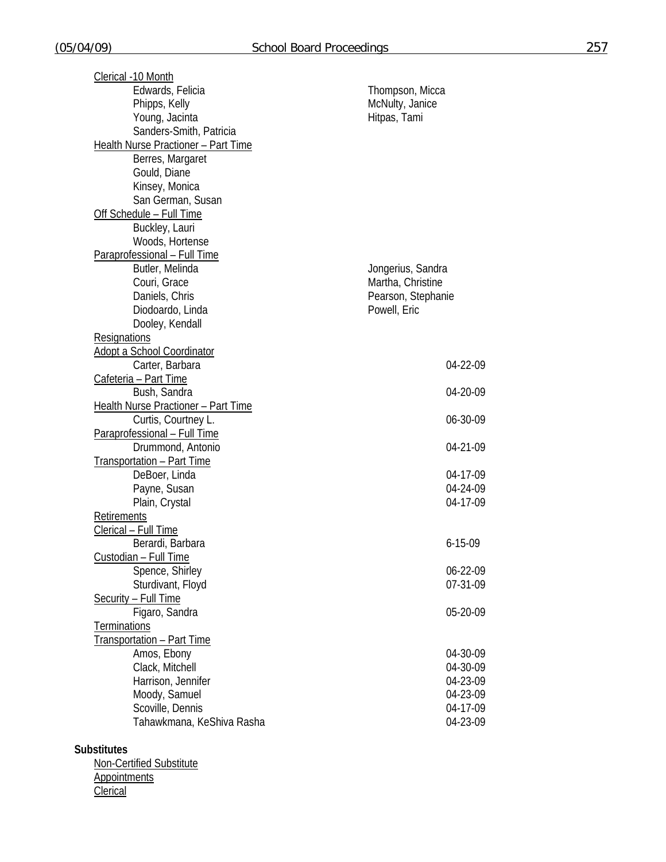| Clerical -10 Month                         |                    |
|--------------------------------------------|--------------------|
| Edwards, Felicia                           | Thompson, Micca    |
| Phipps, Kelly                              | McNulty, Janice    |
| Young, Jacinta                             | Hitpas, Tami       |
| Sanders-Smith, Patricia                    |                    |
| Health Nurse Practioner - Part Time        |                    |
| Berres, Margaret                           |                    |
| Gould, Diane                               |                    |
| Kinsey, Monica                             |                    |
| San German, Susan                          |                    |
| Off Schedule - Full Time                   |                    |
| Buckley, Lauri                             |                    |
| Woods, Hortense                            |                    |
| Paraprofessional - Full Time               |                    |
| Butler, Melinda                            | Jongerius, Sandra  |
| Couri, Grace                               | Martha, Christine  |
| Daniels, Chris                             | Pearson, Stephanie |
| Diodoardo, Linda                           | Powell, Eric       |
| Dooley, Kendall                            |                    |
| <b>Resignations</b>                        |                    |
| <b>Adopt a School Coordinator</b>          |                    |
| Carter, Barbara                            | 04-22-09           |
| Cafeteria - Part Time                      |                    |
| Bush, Sandra                               | 04-20-09           |
| <b>Health Nurse Practioner - Part Time</b> |                    |
| Curtis, Courtney L.                        | 06-30-09           |
| Paraprofessional - Full Time               |                    |
| Drummond, Antonio                          | 04-21-09           |
| <b>Transportation - Part Time</b>          |                    |
| DeBoer, Linda                              | 04-17-09           |
| Payne, Susan                               | 04-24-09           |
| Plain, Crystal                             | 04-17-09           |
| Retirements                                |                    |
| Clerical - Full Time                       |                    |
| Berardi, Barbara                           | $6 - 15 - 09$      |
| Custodian - Full Time                      |                    |
| Spence, Shirley                            | 06-22-09           |
| Sturdivant, Floyd                          | 07-31-09           |
| Security - Full Time                       |                    |
| Figaro, Sandra                             | 05-20-09           |
| <b>Terminations</b>                        |                    |
| Transportation - Part Time                 |                    |
| Amos, Ebony                                | 04-30-09           |
| Clack, Mitchell                            | 04-30-09           |
| Harrison, Jennifer                         | 04-23-09           |
| Moody, Samuel                              | 04-23-09           |
| Scoville, Dennis                           | 04-17-09           |
| Tahawkmana, KeShiva Rasha                  | 04-23-09           |
|                                            |                    |
| <b>Substitutes</b>                         |                    |
|                                            |                    |

 Non-Certified Substitute **Appointments Clerical**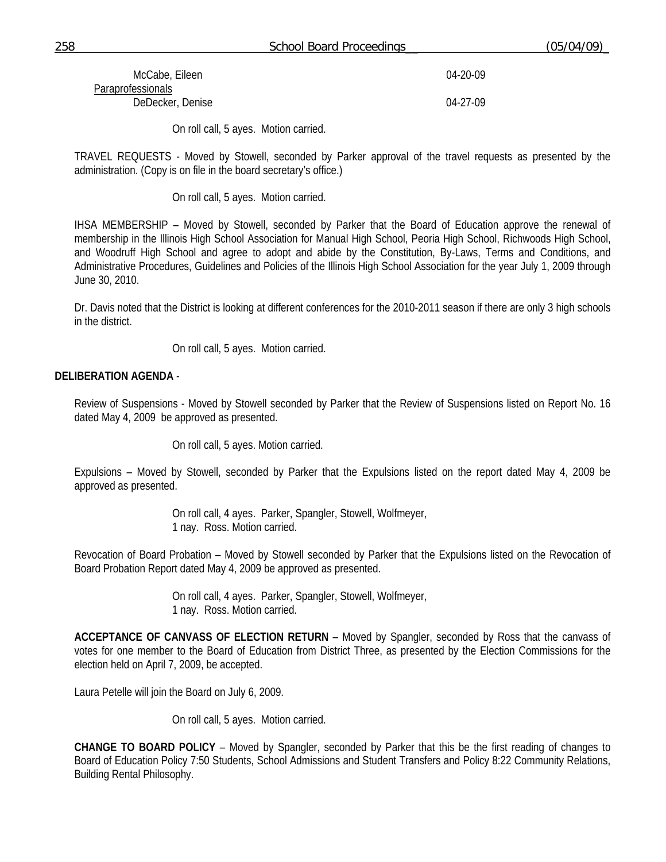| 258 | <b>School Board Proceedings</b> | (05/04/09) |
|-----|---------------------------------|------------|
|-----|---------------------------------|------------|

| McCabe, Eileen    | 04-20-09 |
|-------------------|----------|
| Paraprofessionals |          |
| DeDecker, Denise  | 04-27-09 |

On roll call, 5 ayes. Motion carried.

TRAVEL REQUESTS - Moved by Stowell, seconded by Parker approval of the travel requests as presented by the administration. (Copy is on file in the board secretary's office.)

On roll call, 5 ayes. Motion carried.

IHSA MEMBERSHIP – Moved by Stowell, seconded by Parker that the Board of Education approve the renewal of membership in the Illinois High School Association for Manual High School, Peoria High School, Richwoods High School, and Woodruff High School and agree to adopt and abide by the Constitution, By-Laws, Terms and Conditions, and Administrative Procedures, Guidelines and Policies of the Illinois High School Association for the year July 1, 2009 through June 30, 2010.

Dr. Davis noted that the District is looking at different conferences for the 2010-2011 season if there are only 3 high schools in the district.

On roll call, 5 ayes. Motion carried.

## **DELIBERATION AGENDA** -

Review of Suspensions - Moved by Stowell seconded by Parker that the Review of Suspensions listed on Report No. 16 dated May 4, 2009 be approved as presented.

On roll call, 5 ayes. Motion carried.

Expulsions – Moved by Stowell, seconded by Parker that the Expulsions listed on the report dated May 4, 2009 be approved as presented.

> On roll call, 4 ayes. Parker, Spangler, Stowell, Wolfmeyer, 1 nay. Ross. Motion carried.

Revocation of Board Probation – Moved by Stowell seconded by Parker that the Expulsions listed on the Revocation of Board Probation Report dated May 4, 2009 be approved as presented.

> On roll call, 4 ayes. Parker, Spangler, Stowell, Wolfmeyer, 1 nay. Ross. Motion carried.

**ACCEPTANCE OF CANVASS OF ELECTION RETURN** – Moved by Spangler, seconded by Ross that the canvass of votes for one member to the Board of Education from District Three, as presented by the Election Commissions for the election held on April 7, 2009, be accepted.

Laura Petelle will join the Board on July 6, 2009.

On roll call, 5 ayes. Motion carried.

**CHANGE TO BOARD POLICY** – Moved by Spangler, seconded by Parker that this be the first reading of changes to Board of Education Policy 7:50 Students, School Admissions and Student Transfers and Policy 8:22 Community Relations, Building Rental Philosophy.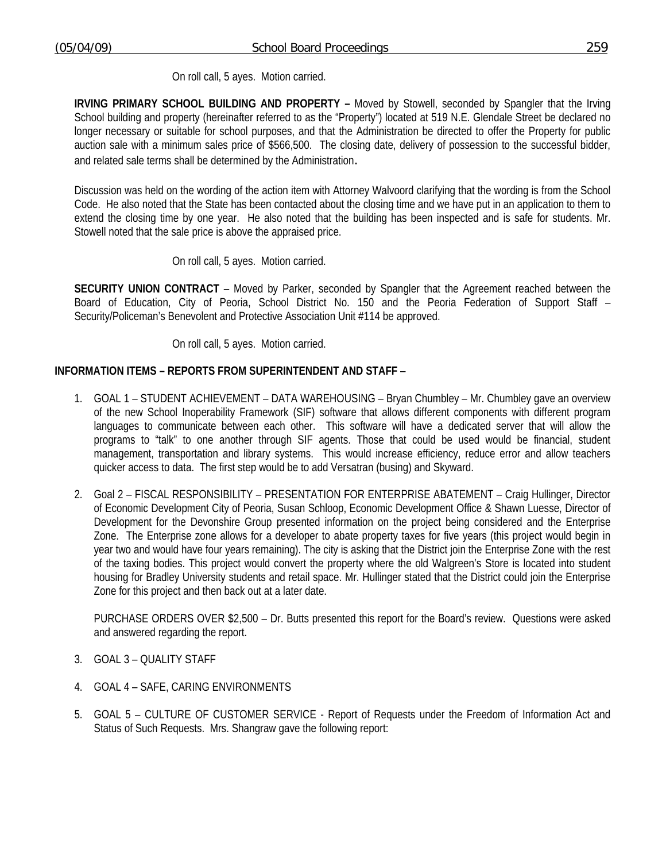On roll call, 5 ayes. Motion carried.

**IRVING PRIMARY SCHOOL BUILDING AND PROPERTY –** Moved by Stowell, seconded by Spangler that the Irving School building and property (hereinafter referred to as the "Property") located at 519 N.E. Glendale Street be declared no longer necessary or suitable for school purposes, and that the Administration be directed to offer the Property for public auction sale with a minimum sales price of \$566,500. The closing date, delivery of possession to the successful bidder, and related sale terms shall be determined by the Administration.

Discussion was held on the wording of the action item with Attorney Walvoord clarifying that the wording is from the School Code. He also noted that the State has been contacted about the closing time and we have put in an application to them to extend the closing time by one year. He also noted that the building has been inspected and is safe for students. Mr. Stowell noted that the sale price is above the appraised price.

On roll call, 5 ayes. Motion carried.

**SECURITY UNION CONTRACT** – Moved by Parker, seconded by Spangler that the Agreement reached between the Board of Education, City of Peoria, School District No. 150 and the Peoria Federation of Support Staff – Security/Policeman's Benevolent and Protective Association Unit #114 be approved.

On roll call, 5 ayes. Motion carried.

# **INFORMATION ITEMS – REPORTS FROM SUPERINTENDENT AND STAFF** –

- 1. GOAL 1 STUDENT ACHIEVEMENT DATA WAREHOUSING Bryan Chumbley Mr. Chumbley gave an overview of the new School Inoperability Framework (SIF) software that allows different components with different program languages to communicate between each other. This software will have a dedicated server that will allow the programs to "talk" to one another through SIF agents. Those that could be used would be financial, student management, transportation and library systems. This would increase efficiency, reduce error and allow teachers quicker access to data. The first step would be to add Versatran (busing) and Skyward.
- 2. Goal 2 FISCAL RESPONSIBILITY PRESENTATION FOR ENTERPRISE ABATEMENT Craig Hullinger, Director of Economic Development City of Peoria, Susan Schloop, Economic Development Office & Shawn Luesse, Director of Development for the Devonshire Group presented information on the project being considered and the Enterprise Zone. The Enterprise zone allows for a developer to abate property taxes for five years (this project would begin in year two and would have four years remaining). The city is asking that the District join the Enterprise Zone with the rest of the taxing bodies. This project would convert the property where the old Walgreen's Store is located into student housing for Bradley University students and retail space. Mr. Hullinger stated that the District could join the Enterprise Zone for this project and then back out at a later date.

 PURCHASE ORDERS OVER \$2,500 – Dr. Butts presented this report for the Board's review. Questions were asked and answered regarding the report.

- 3. GOAL 3 QUALITY STAFF
- 4. GOAL 4 SAFE, CARING ENVIRONMENTS
- 5. GOAL 5 CULTURE OF CUSTOMER SERVICE Report of Requests under the Freedom of Information Act and Status of Such Requests. Mrs. Shangraw gave the following report: